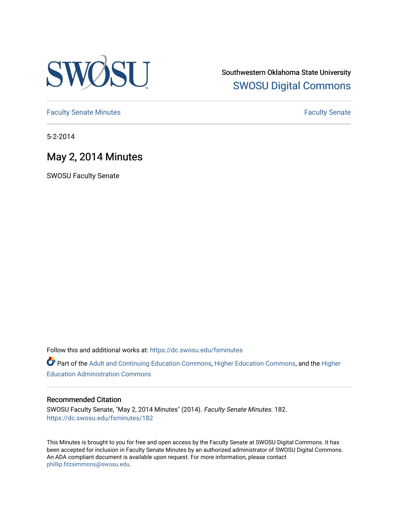

Southwestern Oklahoma State University [SWOSU Digital Commons](https://dc.swosu.edu/) 

[Faculty Senate Minutes](https://dc.swosu.edu/fsminutes) **Faculty** Senate Minutes

5-2-2014

## May 2, 2014 Minutes

SWOSU Faculty Senate

Follow this and additional works at: [https://dc.swosu.edu/fsminutes](https://dc.swosu.edu/fsminutes?utm_source=dc.swosu.edu%2Ffsminutes%2F182&utm_medium=PDF&utm_campaign=PDFCoverPages) 

Part of the [Adult and Continuing Education Commons,](http://network.bepress.com/hgg/discipline/1375?utm_source=dc.swosu.edu%2Ffsminutes%2F182&utm_medium=PDF&utm_campaign=PDFCoverPages) [Higher Education Commons,](http://network.bepress.com/hgg/discipline/1245?utm_source=dc.swosu.edu%2Ffsminutes%2F182&utm_medium=PDF&utm_campaign=PDFCoverPages) and the [Higher](http://network.bepress.com/hgg/discipline/791?utm_source=dc.swosu.edu%2Ffsminutes%2F182&utm_medium=PDF&utm_campaign=PDFCoverPages) [Education Administration Commons](http://network.bepress.com/hgg/discipline/791?utm_source=dc.swosu.edu%2Ffsminutes%2F182&utm_medium=PDF&utm_campaign=PDFCoverPages) 

#### Recommended Citation

SWOSU Faculty Senate, "May 2, 2014 Minutes" (2014). Faculty Senate Minutes. 182. [https://dc.swosu.edu/fsminutes/182](https://dc.swosu.edu/fsminutes/182?utm_source=dc.swosu.edu%2Ffsminutes%2F182&utm_medium=PDF&utm_campaign=PDFCoverPages) 

This Minutes is brought to you for free and open access by the Faculty Senate at SWOSU Digital Commons. It has been accepted for inclusion in Faculty Senate Minutes by an authorized administrator of SWOSU Digital Commons. An ADA compliant document is available upon request. For more information, please contact [phillip.fitzsimmons@swosu.edu](mailto:phillip.fitzsimmons@swosu.edu).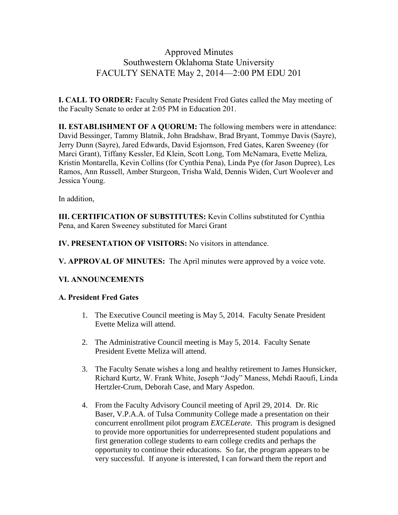### Approved Minutes Southwestern Oklahoma State University FACULTY SENATE May 2, 2014—2:00 PM EDU 201

**I. CALL TO ORDER:** Faculty Senate President Fred Gates called the May meeting of the Faculty Senate to order at 2:05 PM in Education 201.

**II. ESTABLISHMENT OF A QUORUM:** The following members were in attendance: David Bessinger, Tammy Blatnik, John Bradshaw, Brad Bryant, Tommye Davis (Sayre), Jerry Dunn (Sayre), Jared Edwards, David Esjornson, Fred Gates, Karen Sweeney (for Marci Grant), Tiffany Kessler, Ed Klein, Scott Long, Tom McNamara, Evette Meliza, Kristin Montarella, Kevin Collins (for Cynthia Pena), Linda Pye (for Jason Dupree), Les Ramos, Ann Russell, Amber Sturgeon, Trisha Wald, Dennis Widen, Curt Woolever and Jessica Young.

In addition,

**III. CERTIFICATION OF SUBSTITUTES:** Kevin Collins substituted for Cynthia Pena, and Karen Sweeney substituted for Marci Grant

**IV. PRESENTATION OF VISITORS:** No visitors in attendance.

**V. APPROVAL OF MINUTES:** The April minutes were approved by a voice vote.

### **VI. ANNOUNCEMENTS**

### **A. President Fred Gates**

- 1. The Executive Council meeting is May 5, 2014. Faculty Senate President Evette Meliza will attend.
- 2. The Administrative Council meeting is May 5, 2014. Faculty Senate President Evette Meliza will attend.
- 3. The Faculty Senate wishes a long and healthy retirement to James Hunsicker, Richard Kurtz, W. Frank White, Joseph "Jody" Maness, Mehdi Raoufi, Linda Hertzler-Crum, Deborah Case, and Mary Aspedon.
- 4. From the Faculty Advisory Council meeting of April 29, 2014. Dr. Ric Baser, V.P.A.A. of Tulsa Community College made a presentation on their concurrent enrollment pilot program *EXCELerate*. This program is designed to provide more opportunities for underrepresented student populations and first generation college students to earn college credits and perhaps the opportunity to continue their educations. So far, the program appears to be very successful. If anyone is interested, I can forward them the report and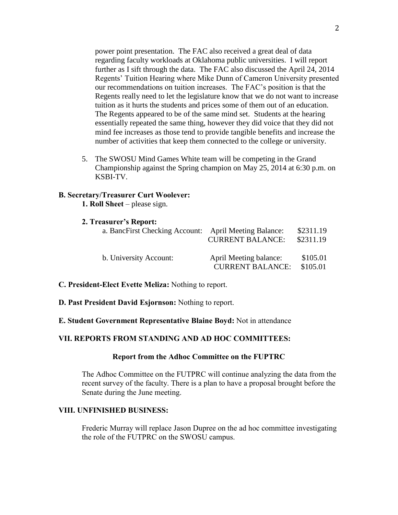power point presentation. The FAC also received a great deal of data regarding faculty workloads at Oklahoma public universities. I will report further as I sift through the data. The FAC also discussed the April 24, 2014 Regents' Tuition Hearing where Mike Dunn of Cameron University presented our recommendations on tuition increases. The FAC's position is that the Regents really need to let the legislature know that we do not want to increase tuition as it hurts the students and prices some of them out of an education. The Regents appeared to be of the same mind set. Students at the hearing essentially repeated the same thing, however they did voice that they did not mind fee increases as those tend to provide tangible benefits and increase the number of activities that keep them connected to the college or university.

5. The SWOSU Mind Games White team will be competing in the Grand Championship against the Spring champion on May 25, 2014 at 6:30 p.m. on KSBI-TV.

#### **B. Secretary/Treasurer Curt Woolever:**

- **1. Roll Sheet** please sign.
- **2. Treasurer's Report:**

| a. BancFirst Checking Account: April Meeting Balance: | <b>CURRENT BALANCE:</b>                           | \$2311.19<br>\$2311.19 |
|-------------------------------------------------------|---------------------------------------------------|------------------------|
| b. University Account:                                | April Meeting balance:<br><b>CURRENT BALANCE:</b> | \$105.01<br>\$105.01   |

- **C. President-Elect Evette Meliza:** Nothing to report.
- **D. Past President David Esjornson:** Nothing to report.
- **E. Student Government Representative Blaine Boyd:** Not in attendance

#### **VII. REPORTS FROM STANDING AND AD HOC COMMITTEES:**

#### **Report from the Adhoc Committee on the FUPTRC**

The Adhoc Committee on the FUTPRC will continue analyzing the data from the recent survey of the faculty. There is a plan to have a proposal brought before the Senate during the June meeting.

#### **VIII. UNFINISHED BUSINESS:**

Frederic Murray will replace Jason Dupree on the ad hoc committee investigating the role of the FUTPRC on the SWOSU campus.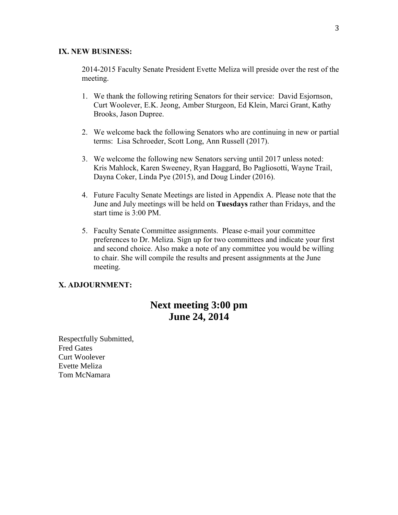#### **IX. NEW BUSINESS:**

2014-2015 Faculty Senate President Evette Meliza will preside over the rest of the meeting.

- 1. We thank the following retiring Senators for their service: David Esjornson, Curt Woolever, E.K. Jeong, Amber Sturgeon, Ed Klein, Marci Grant, Kathy Brooks, Jason Dupree.
- 2. We welcome back the following Senators who are continuing in new or partial terms: Lisa Schroeder, Scott Long, Ann Russell (2017).
- 3. We welcome the following new Senators serving until 2017 unless noted: Kris Mahlock, Karen Sweeney, Ryan Haggard, Bo Pagliosotti, Wayne Trail, Dayna Coker, Linda Pye (2015), and Doug Linder (2016).
- 4. Future Faculty Senate Meetings are listed in Appendix A. Please note that the June and July meetings will be held on **Tuesdays** rather than Fridays, and the start time is 3:00 PM.
- 5. Faculty Senate Committee assignments. Please e-mail your committee preferences to Dr. Meliza. Sign up for two committees and indicate your first and second choice. Also make a note of any committee you would be willing to chair. She will compile the results and present assignments at the June meeting.

#### **X. ADJOURNMENT:**

## **Next meeting 3:00 pm June 24, 2014**

Respectfully Submitted, Fred Gates Curt Woolever Evette Meliza Tom McNamara